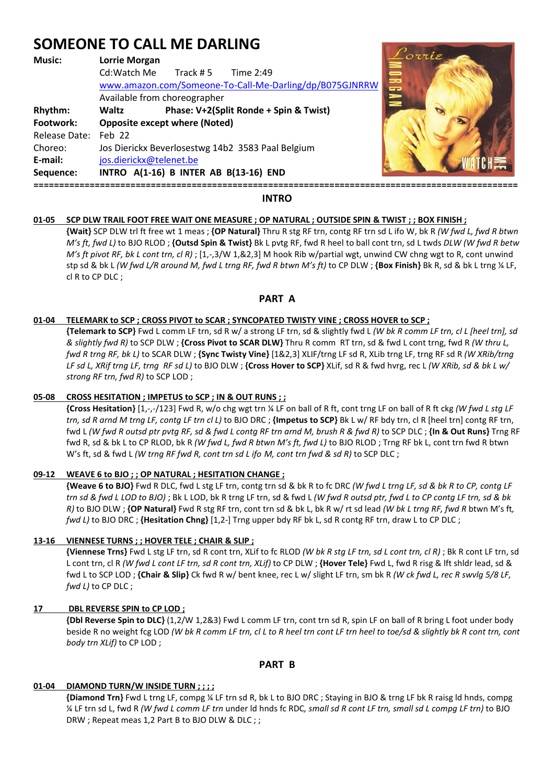# **SOMEONE TO CALL ME DARLING**

## **Music: Lorrie Morgan**  Cd:Watch Me Track # 5 Time 2:49 www.amazon.com/Someone-To-Call-Me-Darling/dp/B075GJNRRW Available from choreographer **Rhythm: Waltz Phase: V+2(Split Ronde + Spin & Twist) Footwork: Opposite except where (Noted)**  Release Date: Feb 22 Choreo: Jos Dierickx Beverlosestwg 14b2 3583 Paal Belgium **E-mail:** jos.dierickx@telenet.be **Sequence: INTRO A(1-16) B INTER AB B(13-16) END ===============================================================================================**



## **INTRO**

## **01-05 SCP DLW TRAIL FOOT FREE WAIT ONE MEASURE ; OP NATURAL ; OUTSIDE SPIN & TWIST ; ; BOX FINISH ;**

 **{Wait}** SCP DLW trl ft free wt 1 meas ; **{OP Natural}** Thru R stg RF trn, contg RF trn sd L ifo W, bk R *(W fwd L, fwd R btwn M's ft, fwd L)* to BJO RLOD ; **{Outsd Spin & Twist}** Bk L pvtg RF, fwd R heel to ball cont trn, sd L twds *DLW (W fwd R betw M's ft pivot RF, bk L cont trn, cl R)* ; [1,-,3/W 1,&2,3] M hook Rib w/partial wgt, unwind CW chng wgt to R, cont unwind stp sd & bk L *(W fwd L/R around M, fwd L trng RF, fwd R btwn M's ft)* to CP DLW ; **{Box Finish}** Bk R, sd & bk L trng ¼ LF, cl R to CP DLC ;

## **PART A**

#### **01-04 TELEMARK to SCP ; CROSS PIVOT to SCAR ; SYNCOPATED TWISTY VINE ; CROSS HOVER to SCP ;**

 **{Telemark to SCP}** Fwd L comm LF trn, sd R w/ a strong LF trn, sd & slightly fwd L *(W bk R comm LF trn, cl L [heel trn], sd & slightly fwd R)* to SCP DLW ; **{Cross Pivot to SCAR DLW}** Thru R comm RT trn, sd & fwd L cont trng, fwd R *(W thru L, fwd R trng RF, bk L)* to SCAR DLW ; **{Sync Twisty Vine}** [1&2,3] XLIF/trng LF sd R, XLib trng LF, trng RF sd R *(W XRib/trng LF sd L, XRif trng LF, trng RF sd L)* to BJO DLW ; **{Cross Hover to SCP}** XLif, sd R & fwd hvrg, rec L *(W XRib, sd & bk L w/ strong RF trn, fwd R)* to SCP LOD ;

## **05-08 CROSS HESITATION ; IMPETUS to SCP ; IN & OUT RUNS ; ;**

 **{Cross Hesitation}** [1,-,-/123] Fwd R, w/o chg wgt trn ¼ LF on ball of R ft, cont trng LF on ball of R ft ckg *(W fwd L stg LF trn, sd R arnd M trng LF, contg LF trn cl L)* to BJO DRC ; **{Impetus to SCP}** Bk L w/ RF bdy trn, cl R [heel trn] contg RF trn, fwd L *(W fwd R outsd ptr pvtg RF, sd & fwd L contg RF trn arnd M, brush R & fwd R)* to SCP DLC ; **{In & Out Runs}** Trng RF fwd R, sd & bk L to CP RLOD, bk R *(W fwd L, fwd R btwn M's ft, fwd L)* to BJO RLOD ; Trng RF bk L, cont trn fwd R btwn W's ft, sd & fwd L *(W trng RF fwd R, cont trn sd L ifo M, cont trn fwd & sd R)* to SCP DLC ;

## **09-12 WEAVE 6 to BJO ; ; OP NATURAL ; HESITATION CHANGE ;**

 **{Weave 6 to BJO}** Fwd R DLC, fwd L stg LF trn, contg trn sd & bk R to fc DRC *(W fwd L trng LF, sd & bk R to CP, contg LF trn sd & fwd L LOD to BJO)* ; Bk L LOD, bk R trng LF trn, sd & fwd L *(W fwd R outsd ptr, fwd L to CP contg LF trn, sd & bk R)* to BJO DLW ; **{OP Natural}** Fwd R stg RF trn, cont trn sd & bk L, bk R w/ rt sd lead *(W bk L trng RF, fwd R* btwn M's ft*, fwd L)* to BJO DRC ; **{Hesitation Chng}** [1,2-] Trng upper bdy RF bk L, sd R contg RF trn, draw L to CP DLC ;

## **13-16 VIENNESE TURNS ; ; HOVER TELE ; CHAIR & SLIP ;**

 **{Viennese Trns}** Fwd L stg LF trn, sd R cont trn, XLif to fc RLOD *(W bk R stg LF trn, sd L cont trn, cl R)* ; Bk R cont LF trn, sd L cont trn, cl R *(W fwd L cont LF trn, sd R cont trn, XLif)* to CP DLW ; **{Hover Tele}** Fwd L, fwd R risg & lft shldr lead, sd & fwd L to SCP LOD ; **{Chair & Slip}** Ck fwd R w/ bent knee, rec L w/ slight LF trn, sm bk R *(W ck fwd L, rec R swvlg 5/8 LF, fwd L)* to CP DLC ;

## **17 DBL REVERSE SPIN to CP LOD ;**

 **{Dbl Reverse Spin to DLC}** (1,2/W 1,2&3) Fwd L comm LF trn, cont trn sd R, spin LF on ball of R bring L foot under body beside R no weight fcg LOD *(W bk R comm LF trn, cl L to R heel trn cont LF trn heel to toe/sd & slightly bk R cont trn, cont body trn XLif)* to CP LOD ;

## **PART B**

## **01-04 DIAMOND TURN/W INSIDE TURN ; ; ; ;**

 **{Diamond Trn}** Fwd L trng LF, compg ¼ LF trn sd R, bk L to BJO DRC ; Staying in BJO & trng LF bk R raisg ld hnds, compg ¼ LF trn sd L, fwd R *(W fwd L comm LF trn* under ld hnds fc RDC*, small sd R cont LF trn, small sd L compg LF trn)* to BJO DRW ; Repeat meas 1,2 Part B to BJO DLW & DLC ; ;